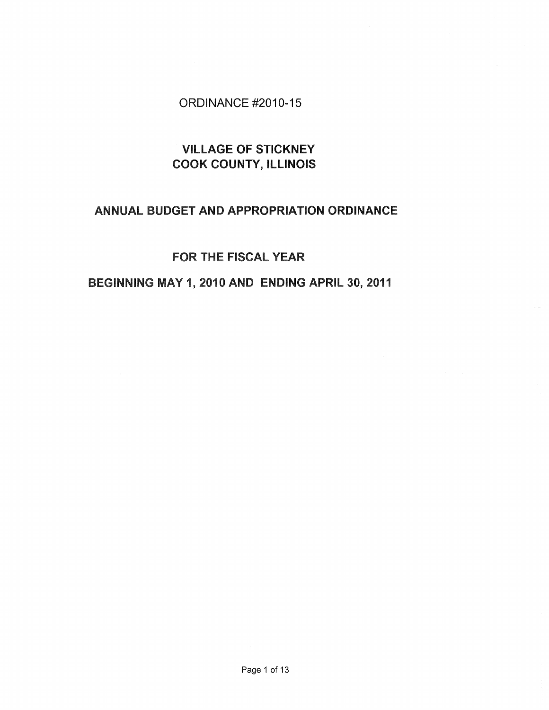# ORDINANCE #2010-15

# VILLAGE OF STICKNEY COOK COUNTY, ILLINOIS

# ANNUAL BUDGET AND APPROPRIATION ORDINANCE

# FOR THE FISCAL YEAR

# BEGINNING MAY 1,2010 AND ENDING APRIL 30,2011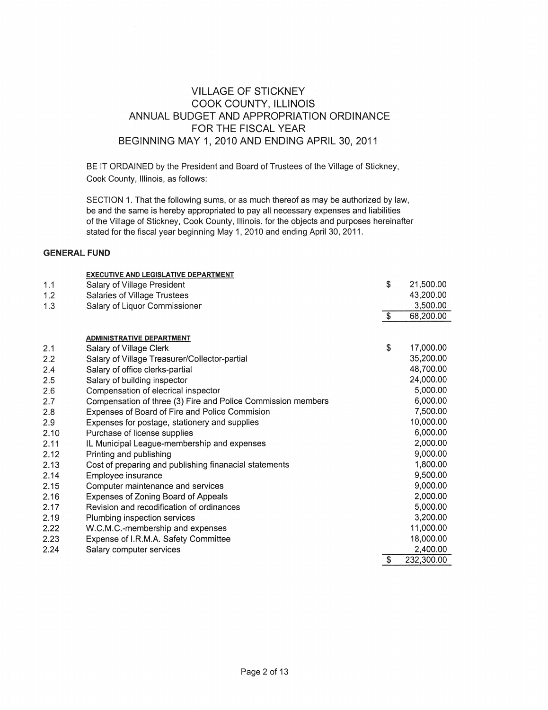# VILLAGE OF STICKNEY COOK COUNTY, ILLINOIS ANNUAL BUDGET AND APPROPRIATION ORDINANCE FOR THE FISCAL YEAR BEGINNING MAY 1, 2010 AND ENDING APRIL 30, 2011

BE IT ORDAINED by the President and Board of Trustees of the Village of Stickney, Cook County, Illinois, as follows:

SECTION 1. That the following sums, or as much thereof as may be authorized by law, be and the same is hereby appropriated to pay all necessary expenses and liabilities of the Village of Stickney, Cook County, Illinois. for the objects and purposes hereinafter stated for the fiscal year beginning May 1, 2010 and ending April 30, 2011.

### **GENERAL FUND**

|      | <b>EXECUTIVE AND LEGISLATIVE DEPARTMENT</b>                  |               |            |
|------|--------------------------------------------------------------|---------------|------------|
| 1.1  | Salary of Village President                                  | \$            | 21,500.00  |
| 1.2  | Salaries of Village Trustees                                 |               | 43,200.00  |
| 1.3  | Salary of Liquor Commissioner                                |               | 3,500.00   |
|      |                                                              | $\sqrt[6]{3}$ | 68,200.00  |
|      |                                                              |               |            |
|      | <b>ADMINISTRATIVE DEPARTMENT</b>                             | \$            |            |
| 2.1  | Salary of Village Clerk                                      |               | 17,000.00  |
| 2.2  | Salary of Village Treasurer/Collector-partial                |               | 35,200.00  |
| 2.4  | Salary of office clerks-partial                              |               | 48,700.00  |
| 2.5  | Salary of building inspector                                 |               | 24,000.00  |
| 2.6  | Compensation of elecrical inspector                          |               | 5,000.00   |
| 2.7  | Compensation of three (3) Fire and Police Commission members |               | 6,000.00   |
| 2.8  | Expenses of Board of Fire and Police Commision               |               | 7,500.00   |
| 2.9  | Expenses for postage, stationery and supplies                |               | 10,000.00  |
| 2.10 | Purchase of license supplies                                 |               | 6,000.00   |
| 2.11 | IL Municipal League-membership and expenses                  |               | 2,000.00   |
| 2.12 | Printing and publishing                                      |               | 9,000.00   |
| 2.13 | Cost of preparing and publishing finanacial statements       |               | 1,800.00   |
| 2.14 | Employee insurance                                           |               | 9,500.00   |
| 2.15 | Computer maintenance and services                            |               | 9,000.00   |
| 2.16 | Expenses of Zoning Board of Appeals                          |               | 2,000.00   |
| 2.17 | Revision and recodification of ordinances                    |               | 5,000.00   |
| 2.19 | Plumbing inspection services                                 |               | 3,200.00   |
| 2.22 | W.C.M.C.-membership and expenses                             |               | 11,000.00  |
| 2.23 | Expense of I.R.M.A. Safety Committee                         |               | 18,000.00  |
| 2.24 | Salary computer services                                     |               | 2,400.00   |
|      |                                                              | \$            | 232,300.00 |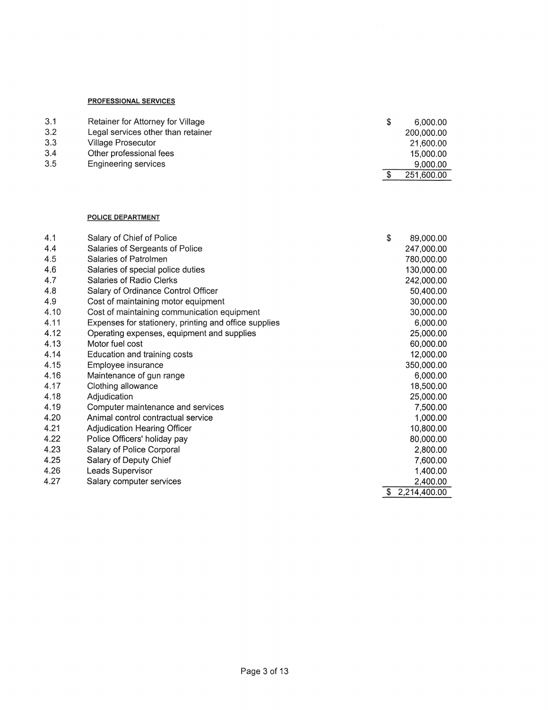## **PROFESSIONAL SERVICES**

| 3.1 | Retainer for Attorney for Village  | S. | 6,000.00   |
|-----|------------------------------------|----|------------|
| 3.2 | Legal services other than retainer |    | 200,000,00 |
| 3.3 | Village Prosecutor                 |    | 21,600.00  |
| 3.4 | Other professional fees            |    | 15,000.00  |
| 3.5 | Engineering services               |    | 9.000.00   |
|     |                                    |    | 251.600.00 |

#### **POLICE DEPARTMENT**

| 4.1  | Salary of Chief of Police                             | \$<br>89,000.00    |
|------|-------------------------------------------------------|--------------------|
| 4.4  | Salaries of Sergeants of Police                       | 247,000.00         |
| 4.5  | Salaries of Patrolmen                                 | 780,000.00         |
| 4.6  | Salaries of special police duties                     | 130,000.00         |
| 4.7  | Salaries of Radio Clerks                              | 242,000.00         |
| 4.8  | Salary of Ordinance Control Officer                   | 50,400.00          |
| 4.9  | Cost of maintaining motor equipment                   | 30,000.00          |
| 4.10 | Cost of maintaining communication equipment           | 30,000.00          |
| 4.11 | Expenses for stationery, printing and office supplies | 6,000.00           |
| 4.12 | Operating expenses, equipment and supplies            | 25,000.00          |
| 4.13 | Motor fuel cost                                       | 60,000.00          |
| 4.14 | Education and training costs                          | 12,000.00          |
| 4.15 | Employee insurance                                    | 350,000.00         |
| 4.16 | Maintenance of gun range                              | 6,000.00           |
| 4.17 | Clothing allowance                                    | 18,500.00          |
| 4.18 | Adjudication                                          | 25,000.00          |
| 4.19 | Computer maintenance and services                     | 7,500.00           |
| 4.20 | Animal control contractual service                    | 1,000.00           |
| 4.21 | Adjudication Hearing Officer                          | 10,800.00          |
| 4.22 | Police Officers' holiday pay                          | 80,000.00          |
| 4.23 | Salary of Police Corporal                             | 2,800.00           |
| 4.25 | Salary of Deputy Chief                                | 7,600.00           |
| 4.26 | Leads Supervisor                                      | 1,400.00           |
| 4.27 | Salary computer services                              | 2,400.00           |
|      |                                                       | \$<br>2,214,400.00 |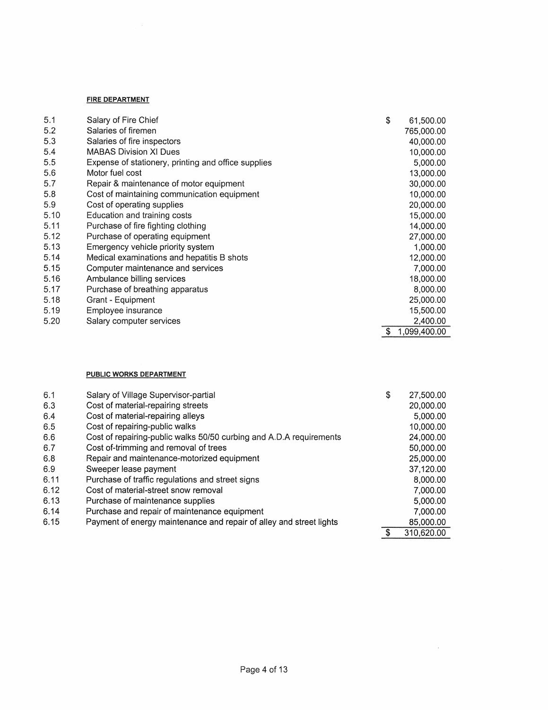#### **FIRE DEPARTMENT**

| 5.1<br>Salary of Fire Chief                                | \$<br>61,500.00 |
|------------------------------------------------------------|-----------------|
| 5.2<br>Salaries of firemen                                 | 765,000.00      |
| 5.3<br>Salaries of fire inspectors                         | 40,000.00       |
| 5.4<br><b>MABAS Division XI Dues</b>                       | 10,000.00       |
| 5.5<br>Expense of stationery, printing and office supplies | 5,000.00        |
| 5.6<br>Motor fuel cost                                     | 13,000.00       |
| 5.7<br>Repair & maintenance of motor equipment             | 30,000.00       |
| 5.8<br>Cost of maintaining communication equipment         | 10,000.00       |
| 5.9<br>Cost of operating supplies                          | 20,000.00       |
| 5.10<br>Education and training costs                       | 15,000.00       |
| 5.11<br>Purchase of fire fighting clothing                 | 14,000.00       |
| 5.12<br>Purchase of operating equipment                    | 27,000.00       |
| 5.13<br>Emergency vehicle priority system                  | 1,000.00        |
| 5.14<br>Medical examinations and hepatitis B shots         | 12,000.00       |
| 5.15<br>Computer maintenance and services                  | 7,000.00        |
| 5.16<br>Ambulance billing services                         | 18,000.00       |
| 5.17<br>Purchase of breathing apparatus                    | 8,000.00        |
| 5.18<br>Grant - Equipment                                  | 25,000.00       |
| 5.19<br>Employee insurance                                 | 15,500.00       |
| 5.20<br>Salary computer services                           | 2,400.00        |
|                                                            | 1,099,400.00    |

## **PUBLIC WORKS DEPARTMENT**

| 6.1  | Salary of Village Supervisor-partial                                | \$<br>27,500,00 |
|------|---------------------------------------------------------------------|-----------------|
| 6.3  | Cost of material-repairing streets                                  | 20,000.00       |
| 6.4  | Cost of material-repairing alleys                                   | 5,000.00        |
| 6.5  | Cost of repairing-public walks                                      | 10,000.00       |
| 6.6  | Cost of repairing-public walks 50/50 curbing and A.D.A requirements | 24,000.00       |
| 6.7  | Cost of-trimming and removal of trees                               | 50,000.00       |
| 6.8  | Repair and maintenance-motorized equipment                          | 25,000.00       |
| 6.9  | Sweeper lease payment                                               | 37,120.00       |
| 6.11 | Purchase of traffic regulations and street signs                    | 8,000.00        |
| 6.12 | Cost of material-street snow removal                                | 7,000.00        |
| 6.13 | Purchase of maintenance supplies                                    | 5,000.00        |
| 6.14 | Purchase and repair of maintenance equipment                        | 7,000.00        |
| 6.15 | Payment of energy maintenance and repair of alley and street lights | 85,000.00       |
|      |                                                                     | 310,620.00      |

 $\sim$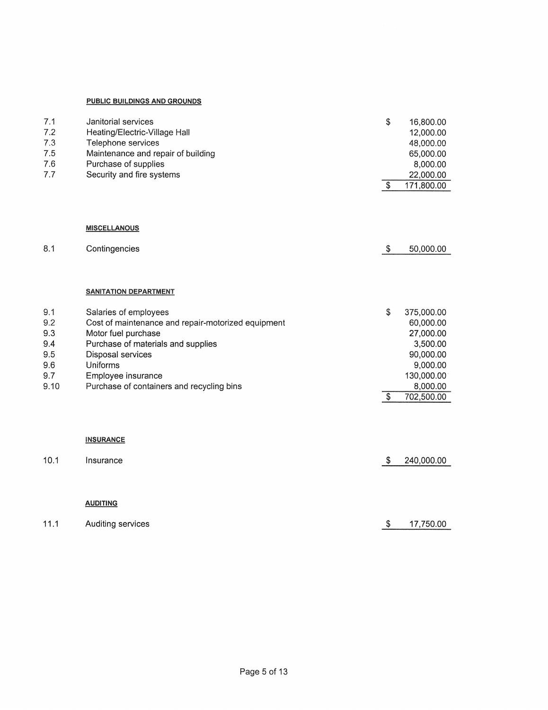## **PUBLIC BUILDINGS AND GROUNDS**

| 7.1<br>7.2<br>7.3<br>7.5<br>7.6<br>7.7 | Janitorial services<br>Heating/Electric-Village Hall<br>Telephone services<br>Maintenance and repair of building<br>Purchase of supplies<br>Security and fire systems                                     | \$<br>$\boldsymbol{\mathsf{S}}$ | 16,800.00<br>12,000.00<br>48,000.00<br>65,000.00<br>8,000.00<br>22,000.00<br>171,800.00 |
|----------------------------------------|-----------------------------------------------------------------------------------------------------------------------------------------------------------------------------------------------------------|---------------------------------|-----------------------------------------------------------------------------------------|
|                                        |                                                                                                                                                                                                           |                                 |                                                                                         |
|                                        | <b>MISCELLANOUS</b>                                                                                                                                                                                       |                                 |                                                                                         |
| 8.1                                    | Contingencies                                                                                                                                                                                             | $\mathcal{S}$                   | 50,000.00                                                                               |
| 9.1<br>9.2<br>9.3<br>9.4<br>9.5<br>9.6 | <b>SANITATION DEPARTMENT</b><br>Salaries of employees<br>Cost of maintenance and repair-motorized equipment<br>Motor fuel purchase<br>Purchase of materials and supplies<br>Disposal services<br>Uniforms | \$                              | 375,000.00<br>60,000.00<br>27,000.00<br>3,500.00<br>90,000.00<br>9,000.00               |
| 9.7<br>9.10                            | Employee insurance<br>Purchase of containers and recycling bins                                                                                                                                           | $\overline{\mathcal{E}}$        | 130,000.00<br>8,000.00<br>702,500.00                                                    |
|                                        | <b>INSURANCE</b>                                                                                                                                                                                          |                                 |                                                                                         |
| 10.1                                   | Insurance                                                                                                                                                                                                 | $\boldsymbol{\mathsf{S}}$       | 240,000.00                                                                              |
|                                        |                                                                                                                                                                                                           |                                 |                                                                                         |
|                                        | <b>AUDITING</b>                                                                                                                                                                                           |                                 |                                                                                         |
| 11.1                                   | Auditing services                                                                                                                                                                                         | \$                              | 17,750.00                                                                               |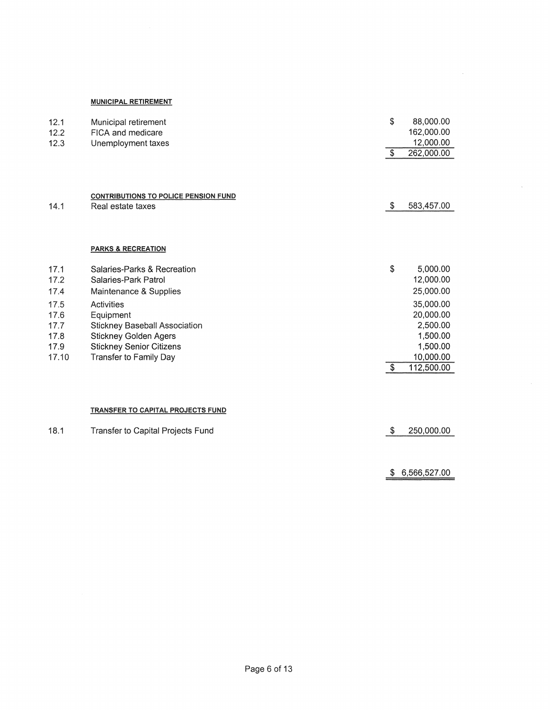#### **MUNICIPAL RETIREMENT**

| 12.1<br>12.2<br>12.3                                                  | Municipal retirement<br>FICA and medicare<br>Unemployment taxes                                                                                                                                                                                      | \$                        | 88,000.00<br>162,000.00<br>12,000.00                                                                                        |
|-----------------------------------------------------------------------|------------------------------------------------------------------------------------------------------------------------------------------------------------------------------------------------------------------------------------------------------|---------------------------|-----------------------------------------------------------------------------------------------------------------------------|
|                                                                       |                                                                                                                                                                                                                                                      | $\sqrt{3}$                | 262,000.00                                                                                                                  |
| 14.1                                                                  | <b>CONTRIBUTIONS TO POLICE PENSION FUND</b><br>Real estate taxes                                                                                                                                                                                     | $\boldsymbol{\mathsf{S}}$ | 583,457.00                                                                                                                  |
|                                                                       | <b>PARKS &amp; RECREATION</b>                                                                                                                                                                                                                        |                           |                                                                                                                             |
| 17.1<br>17.2<br>17.4<br>17.5<br>17.6<br>17.7<br>17.8<br>17.9<br>17.10 | Salaries-Parks & Recreation<br>Salaries-Park Patrol<br>Maintenance & Supplies<br><b>Activities</b><br>Equipment<br><b>Stickney Baseball Association</b><br><b>Stickney Golden Agers</b><br><b>Stickney Senior Citizens</b><br>Transfer to Family Day | \$<br>-\$                 | 5,000.00<br>12,000.00<br>25,000.00<br>35,000.00<br>20,000.00<br>2,500.00<br>1,500.00<br>1,500.00<br>10,000.00<br>112,500.00 |
|                                                                       | TRANSFER TO CAPITAL PROJECTS FUND                                                                                                                                                                                                                    |                           |                                                                                                                             |
| 18.1                                                                  | Transfer to Capital Projects Fund                                                                                                                                                                                                                    | -S                        | 250,000.00                                                                                                                  |
|                                                                       |                                                                                                                                                                                                                                                      |                           | $\sim$ = $\sim$ $\sim$ $\sim$ $\sim$                                                                                        |

 $$6,566,527.00$ 

 $\mathcal{A}^{\mathcal{A}}$ 

 $\mathcal{A}^{\pm}$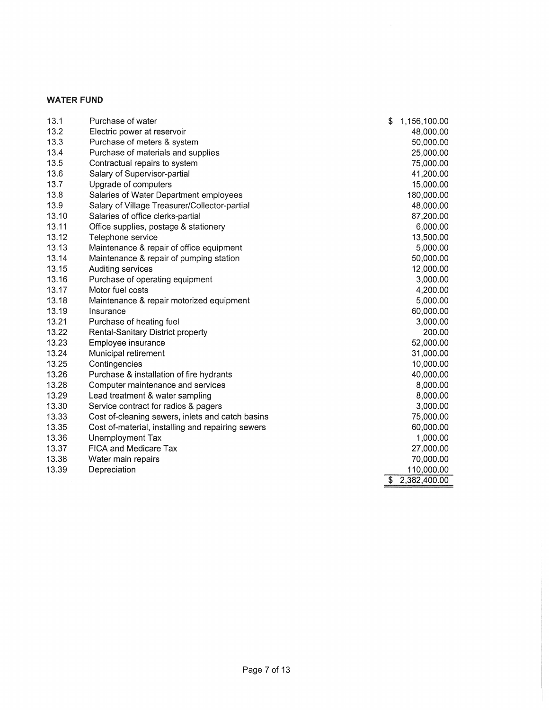## WATER **FUND**

| 13.1  | Purchase of water                                 | \$<br>1,156,100.00 |
|-------|---------------------------------------------------|--------------------|
| 13.2  | Electric power at reservoir                       | 48,000.00          |
| 13.3  | Purchase of meters & system                       | 50,000.00          |
| 13.4  | Purchase of materials and supplies                | 25,000.00          |
| 13.5  | Contractual repairs to system                     | 75,000.00          |
| 13.6  | Salary of Supervisor-partial                      | 41,200.00          |
| 13.7  | Upgrade of computers                              | 15,000.00          |
| 13.8  | Salaries of Water Department employees            | 180,000.00         |
| 13.9  | Salary of Village Treasurer/Collector-partial     | 48,000.00          |
| 13.10 | Salaries of office clerks-partial                 | 87,200.00          |
| 13.11 | Office supplies, postage & stationery             | 6,000.00           |
| 13.12 | Telephone service                                 | 13,500.00          |
| 13.13 | Maintenance & repair of office equipment          | 5,000.00           |
| 13.14 | Maintenance & repair of pumping station           | 50,000.00          |
| 13.15 | Auditing services                                 | 12,000.00          |
| 13.16 | Purchase of operating equipment                   | 3,000.00           |
| 13.17 | Motor fuel costs                                  | 4,200.00           |
| 13.18 | Maintenance & repair motorized equipment          | 5,000.00           |
| 13.19 | Insurance                                         | 60,000.00          |
| 13.21 | Purchase of heating fuel                          | 3,000.00           |
| 13.22 | Rental-Sanitary District property                 | 200.00             |
| 13.23 | Employee insurance                                | 52,000.00          |
| 13.24 | Municipal retirement                              | 31,000.00          |
| 13.25 | Contingencies                                     | 10,000.00          |
| 13.26 | Purchase & installation of fire hydrants          | 40,000.00          |
| 13.28 | Computer maintenance and services                 | 8,000.00           |
| 13.29 | Lead treatment & water sampling                   | 8,000.00           |
| 13.30 | Service contract for radios & pagers              | 3,000.00           |
| 13.33 | Cost of-cleaning sewers, inlets and catch basins  | 75,000.00          |
| 13.35 | Cost of-material, installing and repairing sewers | 60,000.00          |
| 13.36 | Unemployment Tax                                  | 1,000.00           |
| 13.37 | <b>FICA and Medicare Tax</b>                      | 27,000.00          |
| 13.38 | Water main repairs                                | 70,000.00          |
| 13.39 | Depreciation                                      | 110,000.00         |
|       |                                                   | \$<br>2,382,400.00 |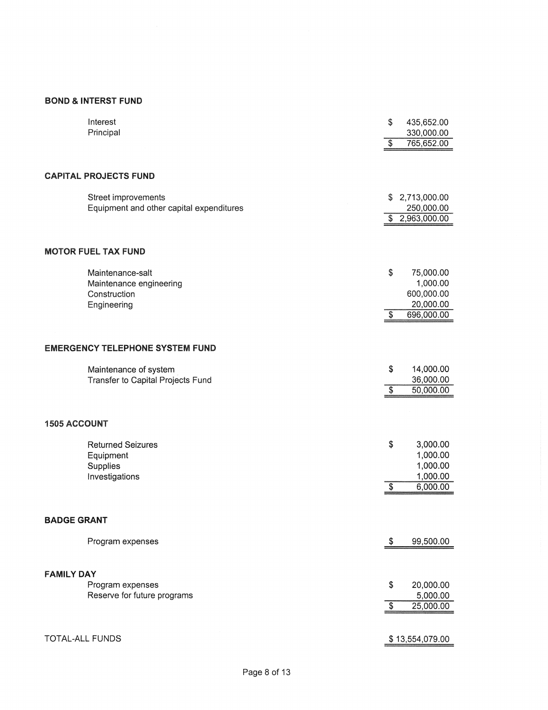## **BOND & INTERST FUND**

|                     | Interest<br>Principal                                           | \$<br>435,652.00<br>330,000.00 |
|---------------------|-----------------------------------------------------------------|--------------------------------|
|                     |                                                                 | \$<br>765,652.00               |
|                     | <b>CAPITAL PROJECTS FUND</b>                                    |                                |
|                     | Street improvements<br>Equipment and other capital expenditures | \$ 2,713,000.00<br>250,000.00  |
|                     |                                                                 | \$2,963,000.00                 |
|                     | <b>MOTOR FUEL TAX FUND</b>                                      |                                |
|                     | Maintenance-salt                                                | \$<br>75,000.00                |
|                     | Maintenance engineering                                         | 1,000.00                       |
|                     | Construction<br>Engineering                                     | 600,000.00<br>20,000.00        |
|                     |                                                                 | \$<br>696,000.00               |
|                     |                                                                 |                                |
|                     | <b>EMERGENCY TELEPHONE SYSTEM FUND</b>                          |                                |
|                     | Maintenance of system                                           | \$<br>14,000.00                |
|                     | Transfer to Capital Projects Fund                               | \$<br>36,000.00<br>50,000.00   |
|                     |                                                                 |                                |
| <b>1505 ACCOUNT</b> |                                                                 |                                |
|                     | <b>Returned Seizures</b>                                        | \$<br>3,000.00                 |
|                     | Equipment                                                       | 1,000.00                       |
|                     | Supplies<br>Investigations                                      | 1,000.00<br>1,000.00           |
|                     |                                                                 | \$<br>6,000.00                 |
|                     |                                                                 |                                |
| <b>BADGE GRANT</b>  |                                                                 |                                |
|                     | Program expenses                                                | \$<br>99,500.00                |
|                     |                                                                 |                                |
| <b>FAMILY DAY</b>   |                                                                 |                                |
|                     | Program expenses<br>Reserve for future programs                 | \$<br>20,000.00<br>5,000.00    |
|                     |                                                                 | \$<br>25,000.00                |
|                     |                                                                 |                                |
| TOTAL-ALL FUNDS     |                                                                 | \$13,554,079.00                |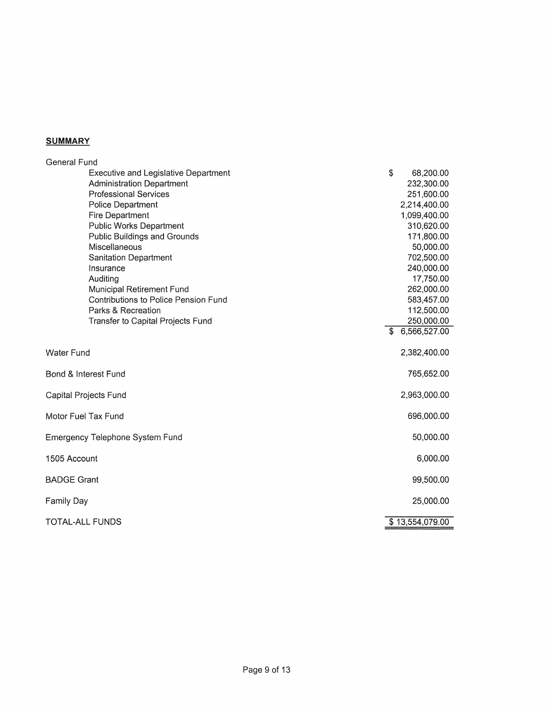## **SUMMARY**

| <b>General Fund</b>                         |                 |
|---------------------------------------------|-----------------|
| <b>Executive and Legislative Department</b> | \$<br>68,200.00 |
| <b>Administration Department</b>            | 232,300.00      |
| <b>Professional Services</b>                | 251,600.00      |
| Police Department                           | 2,214,400.00    |
| Fire Department                             | 1,099,400.00    |
| <b>Public Works Department</b>              | 310,620.00      |
| Public Buildings and Grounds                | 171,800.00      |
| Miscellaneous                               | 50,000.00       |
| Sanitation Department                       | 702,500.00      |
| Insurance                                   | 240,000.00      |
| Auditing                                    | 17,750.00       |
| Municipal Retirement Fund                   | 262,000.00      |
| Contributions to Police Pension Fund        | 583,457.00      |
| Parks & Recreation                          | 112,500.00      |
| Transfer to Capital Projects Fund           | 250,000.00      |
|                                             | 6,566,527.00    |
| <b>Water Fund</b>                           | 2,382,400.00    |
| Bond & Interest Fund                        | 765,652.00      |
| Capital Projects Fund                       | 2,963,000.00    |
| Motor Fuel Tax Fund                         | 696,000.00      |
| Emergency Telephone System Fund             | 50,000.00       |
| 1505 Account                                | 6,000.00        |
| <b>BADGE Grant</b>                          | 99,500.00       |
| <b>Family Day</b>                           | 25,000.00       |
| TOTAL-ALL FUNDS                             | \$13,554,079.00 |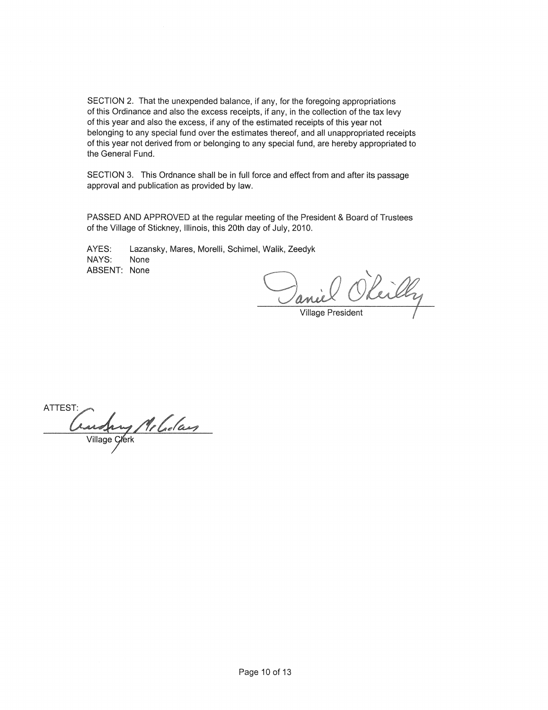SECTION 2. That the unexpended balance, if any, for the foregoing appropriations of this Ordinance and also the excess receipts, if any, in the collection of the tax levy of this year and also the excess, if any of the estimated receipts of this year not belonging to any special fund over the estimates thereof, and all unappropriated receipts of this year not derived from or belonging to any special fund, are hereby appropriated to the General Fund.

SECTION 3. This Ordnance shall be in full force and effect from and after its passage approval and publication as provided by law.

PASSED AND APPROVED at the regular meeting of the President & Board of Trustees of the Village of Stickney, Illinois, this 20th day of July, 2010.

AYES: Lazansky, Mares, Morelli, Schimel, Walik, Zeedyk NAYS: None ABSENT: None

miel Okeilly

ATTEST: Constant Melalas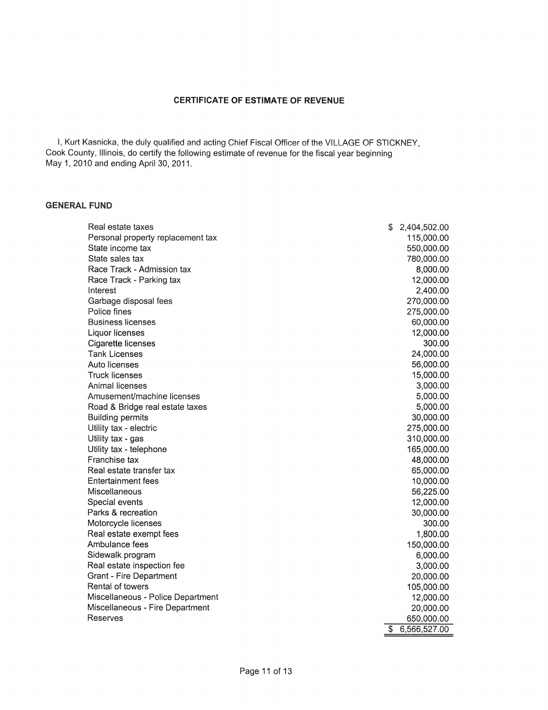#### **CERTIFICATE OF ESTIMATE OF REVENUE**

I, Kurt Kasnicka, the duly qualified and acting Chief Fiscal Officer of the VILLAGE OF STICKNEY, Cook County, Illinois, do certify the following estimate of revenue for the fiscal year beginning May 1, 2010 and ending April 30, 2011.

#### **GENERAL FUND**

| 115,000.00<br>Personal property replacement tax<br>State income tax<br>550,000.00<br>State sales tax<br>780,000.00<br>Race Track - Admission tax<br>8,000.00<br>Race Track - Parking tax<br>12,000.00<br>2,400.00<br>Interest<br>270,000.00<br>Garbage disposal fees<br>Police fines<br>275,000.00<br><b>Business licenses</b><br>60,000.00<br>12,000.00<br>Liquor licenses<br>300.00<br>Cigarette licenses<br><b>Tank Licenses</b><br>24,000.00<br>Auto licenses<br>56,000.00<br><b>Truck licenses</b><br>15,000.00<br>Animal licenses<br>3,000.00<br>Amusement/machine licenses<br>5,000.00<br>5,000.00<br>Road & Bridge real estate taxes<br>30,000.00<br><b>Building permits</b><br>275,000.00<br>Utility tax - electric<br>310,000.00<br>Utility tax - gas<br>165,000.00<br>Utility tax - telephone<br>Franchise tax<br>48,000.00<br>Real estate transfer tax<br>65,000.00<br>Entertainment fees<br>10,000.00<br>56,225.00<br>Miscellaneous<br>Special events<br>12,000.00<br>Parks & recreation<br>30,000.00<br>Motorcycle licenses<br>300.00<br>Real estate exempt fees<br>1,800.00<br>Ambulance fees<br>150,000.00<br>Sidewalk program<br>6,000.00<br>Real estate inspection fee<br>3,000.00<br>Grant - Fire Department<br>20,000.00<br>Rental of towers<br>105,000.00<br>Miscellaneous - Police Department<br>12,000.00<br>Miscellaneous - Fire Department<br>20,000.00<br>Reserves<br>650,000.00<br>\$<br>6,566,527.00 | Real estate taxes | S | 2,404,502.00 |
|----------------------------------------------------------------------------------------------------------------------------------------------------------------------------------------------------------------------------------------------------------------------------------------------------------------------------------------------------------------------------------------------------------------------------------------------------------------------------------------------------------------------------------------------------------------------------------------------------------------------------------------------------------------------------------------------------------------------------------------------------------------------------------------------------------------------------------------------------------------------------------------------------------------------------------------------------------------------------------------------------------------------------------------------------------------------------------------------------------------------------------------------------------------------------------------------------------------------------------------------------------------------------------------------------------------------------------------------------------------------------------------------------------------------------------|-------------------|---|--------------|
|                                                                                                                                                                                                                                                                                                                                                                                                                                                                                                                                                                                                                                                                                                                                                                                                                                                                                                                                                                                                                                                                                                                                                                                                                                                                                                                                                                                                                                  |                   |   |              |
|                                                                                                                                                                                                                                                                                                                                                                                                                                                                                                                                                                                                                                                                                                                                                                                                                                                                                                                                                                                                                                                                                                                                                                                                                                                                                                                                                                                                                                  |                   |   |              |
|                                                                                                                                                                                                                                                                                                                                                                                                                                                                                                                                                                                                                                                                                                                                                                                                                                                                                                                                                                                                                                                                                                                                                                                                                                                                                                                                                                                                                                  |                   |   |              |
|                                                                                                                                                                                                                                                                                                                                                                                                                                                                                                                                                                                                                                                                                                                                                                                                                                                                                                                                                                                                                                                                                                                                                                                                                                                                                                                                                                                                                                  |                   |   |              |
|                                                                                                                                                                                                                                                                                                                                                                                                                                                                                                                                                                                                                                                                                                                                                                                                                                                                                                                                                                                                                                                                                                                                                                                                                                                                                                                                                                                                                                  |                   |   |              |
|                                                                                                                                                                                                                                                                                                                                                                                                                                                                                                                                                                                                                                                                                                                                                                                                                                                                                                                                                                                                                                                                                                                                                                                                                                                                                                                                                                                                                                  |                   |   |              |
|                                                                                                                                                                                                                                                                                                                                                                                                                                                                                                                                                                                                                                                                                                                                                                                                                                                                                                                                                                                                                                                                                                                                                                                                                                                                                                                                                                                                                                  |                   |   |              |
|                                                                                                                                                                                                                                                                                                                                                                                                                                                                                                                                                                                                                                                                                                                                                                                                                                                                                                                                                                                                                                                                                                                                                                                                                                                                                                                                                                                                                                  |                   |   |              |
|                                                                                                                                                                                                                                                                                                                                                                                                                                                                                                                                                                                                                                                                                                                                                                                                                                                                                                                                                                                                                                                                                                                                                                                                                                                                                                                                                                                                                                  |                   |   |              |
|                                                                                                                                                                                                                                                                                                                                                                                                                                                                                                                                                                                                                                                                                                                                                                                                                                                                                                                                                                                                                                                                                                                                                                                                                                                                                                                                                                                                                                  |                   |   |              |
|                                                                                                                                                                                                                                                                                                                                                                                                                                                                                                                                                                                                                                                                                                                                                                                                                                                                                                                                                                                                                                                                                                                                                                                                                                                                                                                                                                                                                                  |                   |   |              |
|                                                                                                                                                                                                                                                                                                                                                                                                                                                                                                                                                                                                                                                                                                                                                                                                                                                                                                                                                                                                                                                                                                                                                                                                                                                                                                                                                                                                                                  |                   |   |              |
|                                                                                                                                                                                                                                                                                                                                                                                                                                                                                                                                                                                                                                                                                                                                                                                                                                                                                                                                                                                                                                                                                                                                                                                                                                                                                                                                                                                                                                  |                   |   |              |
|                                                                                                                                                                                                                                                                                                                                                                                                                                                                                                                                                                                                                                                                                                                                                                                                                                                                                                                                                                                                                                                                                                                                                                                                                                                                                                                                                                                                                                  |                   |   |              |
|                                                                                                                                                                                                                                                                                                                                                                                                                                                                                                                                                                                                                                                                                                                                                                                                                                                                                                                                                                                                                                                                                                                                                                                                                                                                                                                                                                                                                                  |                   |   |              |
|                                                                                                                                                                                                                                                                                                                                                                                                                                                                                                                                                                                                                                                                                                                                                                                                                                                                                                                                                                                                                                                                                                                                                                                                                                                                                                                                                                                                                                  |                   |   |              |
|                                                                                                                                                                                                                                                                                                                                                                                                                                                                                                                                                                                                                                                                                                                                                                                                                                                                                                                                                                                                                                                                                                                                                                                                                                                                                                                                                                                                                                  |                   |   |              |
|                                                                                                                                                                                                                                                                                                                                                                                                                                                                                                                                                                                                                                                                                                                                                                                                                                                                                                                                                                                                                                                                                                                                                                                                                                                                                                                                                                                                                                  |                   |   |              |
|                                                                                                                                                                                                                                                                                                                                                                                                                                                                                                                                                                                                                                                                                                                                                                                                                                                                                                                                                                                                                                                                                                                                                                                                                                                                                                                                                                                                                                  |                   |   |              |
|                                                                                                                                                                                                                                                                                                                                                                                                                                                                                                                                                                                                                                                                                                                                                                                                                                                                                                                                                                                                                                                                                                                                                                                                                                                                                                                                                                                                                                  |                   |   |              |
|                                                                                                                                                                                                                                                                                                                                                                                                                                                                                                                                                                                                                                                                                                                                                                                                                                                                                                                                                                                                                                                                                                                                                                                                                                                                                                                                                                                                                                  |                   |   |              |
|                                                                                                                                                                                                                                                                                                                                                                                                                                                                                                                                                                                                                                                                                                                                                                                                                                                                                                                                                                                                                                                                                                                                                                                                                                                                                                                                                                                                                                  |                   |   |              |
|                                                                                                                                                                                                                                                                                                                                                                                                                                                                                                                                                                                                                                                                                                                                                                                                                                                                                                                                                                                                                                                                                                                                                                                                                                                                                                                                                                                                                                  |                   |   |              |
|                                                                                                                                                                                                                                                                                                                                                                                                                                                                                                                                                                                                                                                                                                                                                                                                                                                                                                                                                                                                                                                                                                                                                                                                                                                                                                                                                                                                                                  |                   |   |              |
|                                                                                                                                                                                                                                                                                                                                                                                                                                                                                                                                                                                                                                                                                                                                                                                                                                                                                                                                                                                                                                                                                                                                                                                                                                                                                                                                                                                                                                  |                   |   |              |
|                                                                                                                                                                                                                                                                                                                                                                                                                                                                                                                                                                                                                                                                                                                                                                                                                                                                                                                                                                                                                                                                                                                                                                                                                                                                                                                                                                                                                                  |                   |   |              |
|                                                                                                                                                                                                                                                                                                                                                                                                                                                                                                                                                                                                                                                                                                                                                                                                                                                                                                                                                                                                                                                                                                                                                                                                                                                                                                                                                                                                                                  |                   |   |              |
|                                                                                                                                                                                                                                                                                                                                                                                                                                                                                                                                                                                                                                                                                                                                                                                                                                                                                                                                                                                                                                                                                                                                                                                                                                                                                                                                                                                                                                  |                   |   |              |
|                                                                                                                                                                                                                                                                                                                                                                                                                                                                                                                                                                                                                                                                                                                                                                                                                                                                                                                                                                                                                                                                                                                                                                                                                                                                                                                                                                                                                                  |                   |   |              |
|                                                                                                                                                                                                                                                                                                                                                                                                                                                                                                                                                                                                                                                                                                                                                                                                                                                                                                                                                                                                                                                                                                                                                                                                                                                                                                                                                                                                                                  |                   |   |              |
|                                                                                                                                                                                                                                                                                                                                                                                                                                                                                                                                                                                                                                                                                                                                                                                                                                                                                                                                                                                                                                                                                                                                                                                                                                                                                                                                                                                                                                  |                   |   |              |
|                                                                                                                                                                                                                                                                                                                                                                                                                                                                                                                                                                                                                                                                                                                                                                                                                                                                                                                                                                                                                                                                                                                                                                                                                                                                                                                                                                                                                                  |                   |   |              |
|                                                                                                                                                                                                                                                                                                                                                                                                                                                                                                                                                                                                                                                                                                                                                                                                                                                                                                                                                                                                                                                                                                                                                                                                                                                                                                                                                                                                                                  |                   |   |              |
|                                                                                                                                                                                                                                                                                                                                                                                                                                                                                                                                                                                                                                                                                                                                                                                                                                                                                                                                                                                                                                                                                                                                                                                                                                                                                                                                                                                                                                  |                   |   |              |
|                                                                                                                                                                                                                                                                                                                                                                                                                                                                                                                                                                                                                                                                                                                                                                                                                                                                                                                                                                                                                                                                                                                                                                                                                                                                                                                                                                                                                                  |                   |   |              |
|                                                                                                                                                                                                                                                                                                                                                                                                                                                                                                                                                                                                                                                                                                                                                                                                                                                                                                                                                                                                                                                                                                                                                                                                                                                                                                                                                                                                                                  |                   |   |              |
|                                                                                                                                                                                                                                                                                                                                                                                                                                                                                                                                                                                                                                                                                                                                                                                                                                                                                                                                                                                                                                                                                                                                                                                                                                                                                                                                                                                                                                  |                   |   |              |
|                                                                                                                                                                                                                                                                                                                                                                                                                                                                                                                                                                                                                                                                                                                                                                                                                                                                                                                                                                                                                                                                                                                                                                                                                                                                                                                                                                                                                                  |                   |   |              |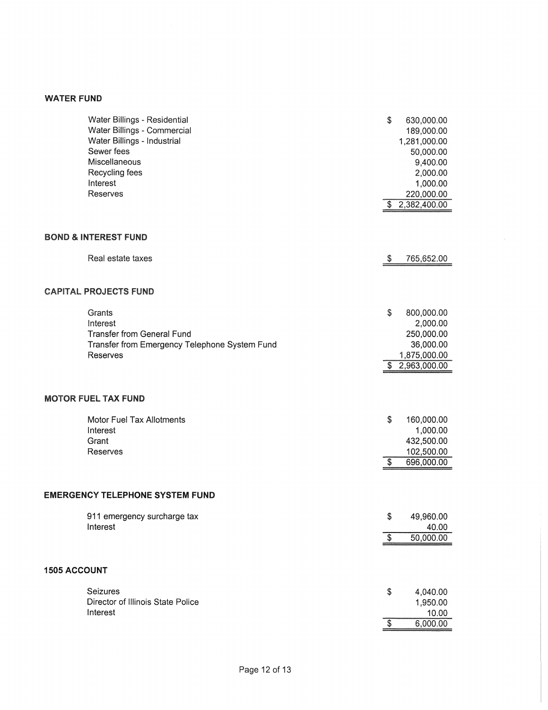#### WATER FUND

|                     | Water Billings - Residential<br>Water Billings - Commercial<br>Water Billings - Industrial<br>Sewer fees<br>Miscellaneous<br>Recycling fees<br>Interest | \$               | 630,000.00<br>189,000.00<br>1,281,000.00<br>50,000.00<br>9,400.00<br>2,000.00<br>1,000.00 |
|---------------------|---------------------------------------------------------------------------------------------------------------------------------------------------------|------------------|-------------------------------------------------------------------------------------------|
|                     | Reserves                                                                                                                                                |                  | 220,000.00<br>\$2,382,400.00                                                              |
|                     | <b>BOND &amp; INTEREST FUND</b><br>Real estate taxes                                                                                                    | -S               | 765,652.00                                                                                |
|                     |                                                                                                                                                         |                  |                                                                                           |
|                     | <b>CAPITAL PROJECTS FUND</b>                                                                                                                            |                  |                                                                                           |
|                     | Grants<br>Interest<br><b>Transfer from General Fund</b><br>Transfer from Emergency Telephone System Fund<br>Reserves                                    | \$               | 800,000.00<br>2,000.00<br>250,000.00<br>36,000.00<br>1,875,000.00<br>\$2,963,000.00       |
|                     | <b>MOTOR FUEL TAX FUND</b>                                                                                                                              |                  |                                                                                           |
|                     | Motor Fuel Tax Allotments<br>Interest<br>Grant<br>Reserves                                                                                              | \$<br>\$         | 160,000.00<br>1,000.00<br>432,500.00<br>102,500.00<br>696,000.00                          |
|                     | <b>EMERGENCY TELEPHONE SYSTEM FUND</b>                                                                                                                  |                  |                                                                                           |
|                     | 911 emergency surcharge tax<br>Interest                                                                                                                 | S.<br>$\sqrt{3}$ | 49,960.00<br>40.00<br>50,000.00                                                           |
|                     |                                                                                                                                                         |                  |                                                                                           |
| <b>1505 ACCOUNT</b> |                                                                                                                                                         |                  |                                                                                           |
|                     | Seizures<br>Director of Illinois State Police<br>Interest                                                                                               | \$<br>\$         | 4,040.00<br>1,950.00<br>10.00<br>6,000.00                                                 |
|                     |                                                                                                                                                         |                  |                                                                                           |